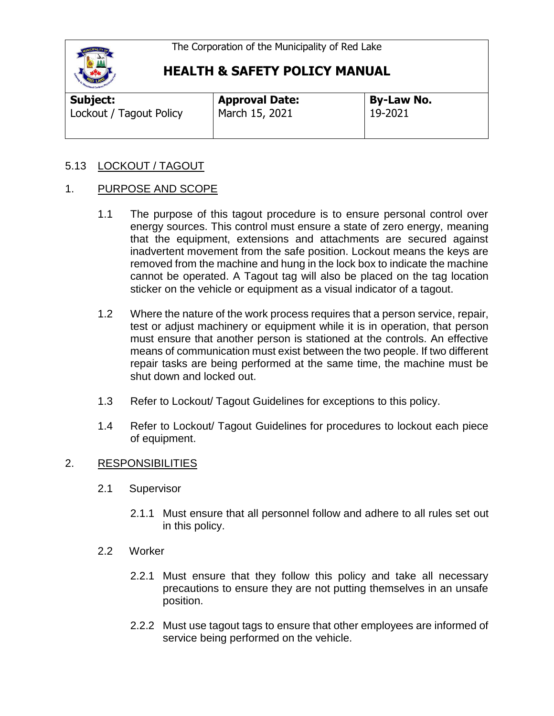

| Subject:                | <b>Approval Date:</b> | By-Law No.  |
|-------------------------|-----------------------|-------------|
| Lockout / Tagout Policy | March 15, 2021        | $19 - 2021$ |
|                         |                       |             |

### 5.13 LOCKOUT / TAGOUT

#### 1. PURPOSE AND SCOPE

- 1.1 The purpose of this tagout procedure is to ensure personal control over energy sources. This control must ensure a state of zero energy, meaning that the equipment, extensions and attachments are secured against inadvertent movement from the safe position. Lockout means the keys are removed from the machine and hung in the lock box to indicate the machine cannot be operated. A Tagout tag will also be placed on the tag location sticker on the vehicle or equipment as a visual indicator of a tagout.
- 1.2 Where the nature of the work process requires that a person service, repair, test or adjust machinery or equipment while it is in operation, that person must ensure that another person is stationed at the controls. An effective means of communication must exist between the two people. If two different repair tasks are being performed at the same time, the machine must be shut down and locked out.
- 1.3 Refer to Lockout/ Tagout Guidelines for exceptions to this policy.
- 1.4 Refer to Lockout/ Tagout Guidelines for procedures to lockout each piece of equipment.

#### 2. RESPONSIBILITIES

- 2.1 Supervisor
	- 2.1.1 Must ensure that all personnel follow and adhere to all rules set out in this policy.
- 2.2 Worker
	- 2.2.1 Must ensure that they follow this policy and take all necessary precautions to ensure they are not putting themselves in an unsafe position.
	- 2.2.2 Must use tagout tags to ensure that other employees are informed of service being performed on the vehicle.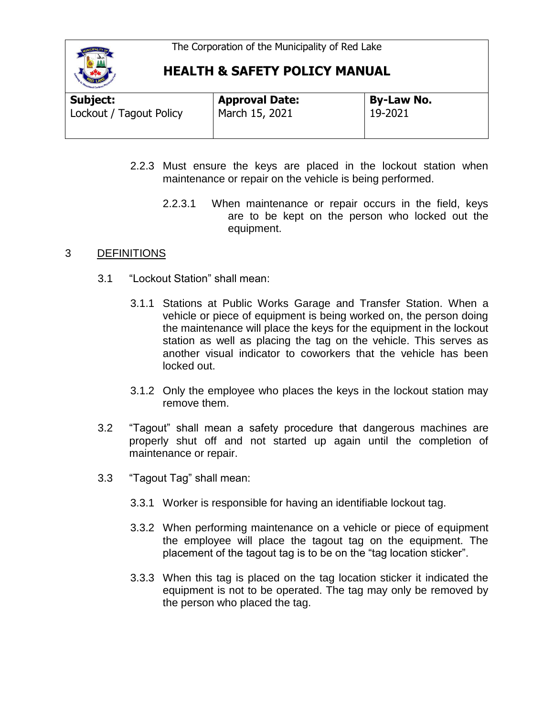

| Subject:                | <b>Approval Date:</b> | <b>By-Law No.</b> |  |
|-------------------------|-----------------------|-------------------|--|
| Lockout / Tagout Policy | March 15, 2021        | 19-2021           |  |
|                         |                       |                   |  |

- 2.2.3 Must ensure the keys are placed in the lockout station when maintenance or repair on the vehicle is being performed.
	- 2.2.3.1 When maintenance or repair occurs in the field, keys are to be kept on the person who locked out the equipment.

#### 3 DEFINITIONS

- 3.1 "Lockout Station" shall mean:
	- 3.1.1 Stations at Public Works Garage and Transfer Station. When a vehicle or piece of equipment is being worked on, the person doing the maintenance will place the keys for the equipment in the lockout station as well as placing the tag on the vehicle. This serves as another visual indicator to coworkers that the vehicle has been locked out.
	- 3.1.2 Only the employee who places the keys in the lockout station may remove them.
- 3.2 "Tagout" shall mean a safety procedure that dangerous machines are properly shut off and not started up again until the completion of maintenance or repair.
- 3.3 "Tagout Tag" shall mean:
	- 3.3.1 Worker is responsible for having an identifiable lockout tag.
	- 3.3.2 When performing maintenance on a vehicle or piece of equipment the employee will place the tagout tag on the equipment. The placement of the tagout tag is to be on the "tag location sticker".
	- 3.3.3 When this tag is placed on the tag location sticker it indicated the equipment is not to be operated. The tag may only be removed by the person who placed the tag.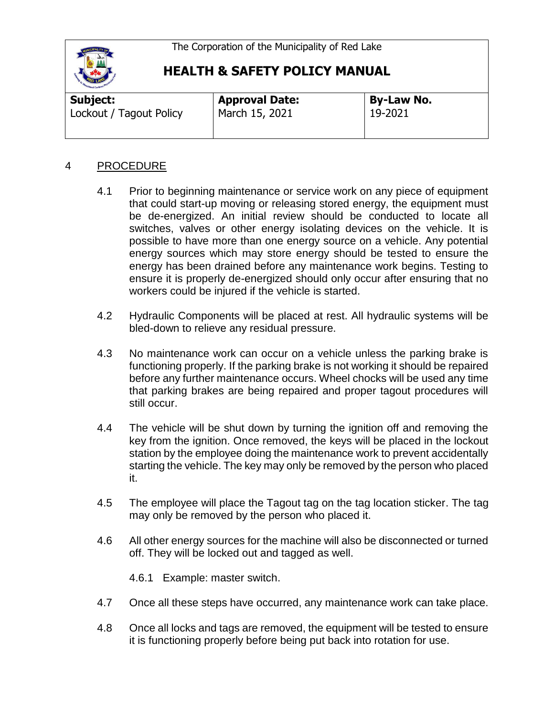

| Subject:                | <b>Approval Date:</b> | <b>By-Law No.</b> |  |
|-------------------------|-----------------------|-------------------|--|
| Lockout / Tagout Policy | March 15, 2021        | 19-2021           |  |
|                         |                       |                   |  |

### 4 PROCEDURE

- 4.1 Prior to beginning maintenance or service work on any piece of equipment that could start-up moving or releasing stored energy, the equipment must be de-energized. An initial review should be conducted to locate all switches, valves or other energy isolating devices on the vehicle. It is possible to have more than one energy source on a vehicle. Any potential energy sources which may store energy should be tested to ensure the energy has been drained before any maintenance work begins. Testing to ensure it is properly de-energized should only occur after ensuring that no workers could be injured if the vehicle is started.
- 4.2 Hydraulic Components will be placed at rest. All hydraulic systems will be bled-down to relieve any residual pressure.
- 4.3 No maintenance work can occur on a vehicle unless the parking brake is functioning properly. If the parking brake is not working it should be repaired before any further maintenance occurs. Wheel chocks will be used any time that parking brakes are being repaired and proper tagout procedures will still occur.
- 4.4 The vehicle will be shut down by turning the ignition off and removing the key from the ignition. Once removed, the keys will be placed in the lockout station by the employee doing the maintenance work to prevent accidentally starting the vehicle. The key may only be removed by the person who placed it.
- 4.5 The employee will place the Tagout tag on the tag location sticker. The tag may only be removed by the person who placed it.
- 4.6 All other energy sources for the machine will also be disconnected or turned off. They will be locked out and tagged as well.
	- 4.6.1 Example: master switch.
- 4.7 Once all these steps have occurred, any maintenance work can take place.
- 4.8 Once all locks and tags are removed, the equipment will be tested to ensure it is functioning properly before being put back into rotation for use.